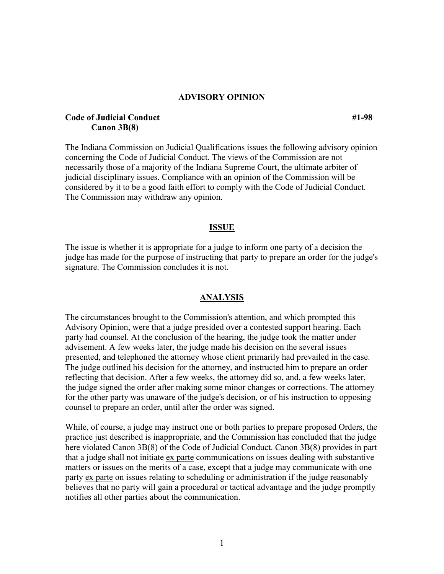## **ADVISORY OPINION**

# **Code of Judicial Conduct #1-98 Canon 3B(8)**

The Indiana Commission on Judicial Qualifications issues the following advisory opinion concerning the Code of Judicial Conduct. The views of the Commission are not necessarily those of a majority of the Indiana Supreme Court, the ultimate arbiter of judicial disciplinary issues. Compliance with an opinion of the Commission will be considered by it to be a good faith effort to comply with the Code of Judicial Conduct. The Commission may withdraw any opinion.

### **ISSUE**

The issue is whether it is appropriate for a judge to inform one party of a decision the judge has made for the purpose of instructing that party to prepare an order for the judge's signature. The Commission concludes it is not.

#### **ANALYSIS**

The circumstances brought to the Commission's attention, and which prompted this Advisory Opinion, were that a judge presided over a contested support hearing. Each party had counsel. At the conclusion of the hearing, the judge took the matter under advisement. A few weeks later, the judge made his decision on the several issues presented, and telephoned the attorney whose client primarily had prevailed in the case. The judge outlined his decision for the attorney, and instructed him to prepare an order reflecting that decision. After a few weeks, the attorney did so, and, a few weeks later, the judge signed the order after making some minor changes or corrections. The attorney for the other party was unaware of the judge's decision, or of his instruction to opposing counsel to prepare an order, until after the order was signed.

While, of course, a judge may instruct one or both parties to prepare proposed Orders, the practice just described is inappropriate, and the Commission has concluded that the judge here violated Canon 3B(8) of the Code of Judicial Conduct. Canon 3B(8) provides in part that a judge shall not initiate ex parte communications on issues dealing with substantive matters or issues on the merits of a case, except that a judge may communicate with one party ex parte on issues relating to scheduling or administration if the judge reasonably believes that no party will gain a procedural or tactical advantage and the judge promptly notifies all other parties about the communication.